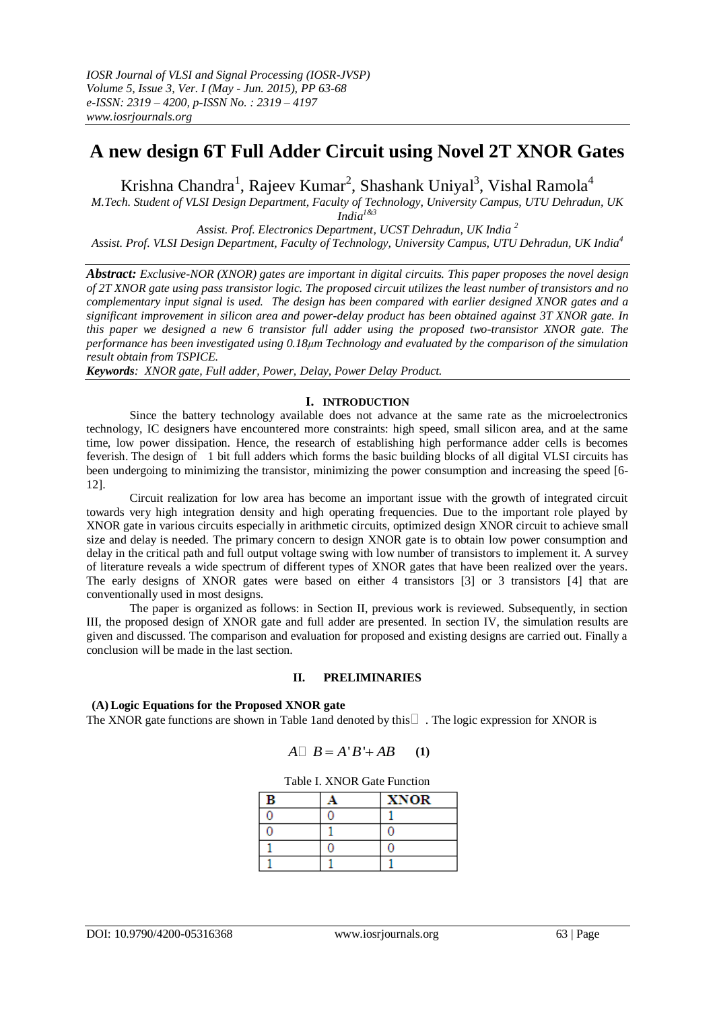# **A new design 6T Full Adder Circuit using Novel 2T XNOR Gates**

Krishna Chandra<sup>1</sup>, Rajeev Kumar<sup>2</sup>, Shashank Uniyal<sup>3</sup>, Vishal Ramola<sup>4</sup>

*M.Tech. Student of VLSI Design Department, Faculty of Technology, University Campus, UTU Dehradun, UK India 1&3*

*Assist. Prof. Electronics Department, UCST Dehradun, UK India <sup>2</sup> Assist. Prof. VLSI Design Department, Faculty of Technology, University Campus, UTU Dehradun, UK India<sup>4</sup>*

*Abstract: Exclusive-NOR (XNOR) gates are important in digital circuits. This paper proposes the novel design of 2T XNOR gate using pass transistor logic. The proposed circuit utilizes the least number of transistors and no complementary input signal is used. The design has been compared with earlier designed XNOR gates and a significant improvement in silicon area and power-delay product has been obtained against 3T XNOR gate. In this paper we designed a new 6 transistor full adder using the proposed two-transistor XNOR gate. The performance has been investigated using 0.18μm Technology and evaluated by the comparison of the simulation result obtain from TSPICE.*

*Keywords: XNOR gate, Full adder, Power, Delay, Power Delay Product.*

### **I. INTRODUCTION**

Since the battery technology available does not advance at the same rate as the microelectronics technology, IC designers have encountered more constraints: high speed, small silicon area, and at the same time, low power dissipation. Hence, the research of establishing high performance adder cells is becomes feverish. The design of 1 bit full adders which forms the basic building blocks of all digital VLSI circuits has been undergoing to minimizing the transistor, minimizing the power consumption and increasing the speed [6- 12].

Circuit realization for low area has become an important issue with the growth of integrated circuit towards very high integration density and high operating frequencies. Due to the important role played by XNOR gate in various circuits especially in arithmetic circuits, optimized design XNOR circuit to achieve small size and delay is needed. The primary concern to design XNOR gate is to obtain low power consumption and delay in the critical path and full output voltage swing with low number of transistors to implement it. A survey of literature reveals a wide spectrum of different types of XNOR gates that have been realized over the years. The early designs of XNOR gates were based on either 4 transistors [3] or 3 transistors [4] that are conventionally used in most designs.

The paper is organized as follows: in Section II, previous work is reviewed. Subsequently, in section III, the proposed design of XNOR gate and full adder are presented. In section IV, the simulation results are given and discussed. The comparison and evaluation for proposed and existing designs are carried out. Finally a conclusion will be made in the last section.

## **II. PRELIMINARIES**

### **(A) Logic Equations for the Proposed XNOR gate**

The XNOR gate functions are shown in Table 1 and denoted by this  $\Box$ . The logic expression for XNOR is

$$
A \Box B = A'B' + AB
$$
 (1)

#### Table I. XNOR Gate Function

| в | <b>XNOR</b> |
|---|-------------|
|   |             |
|   |             |
|   |             |
|   |             |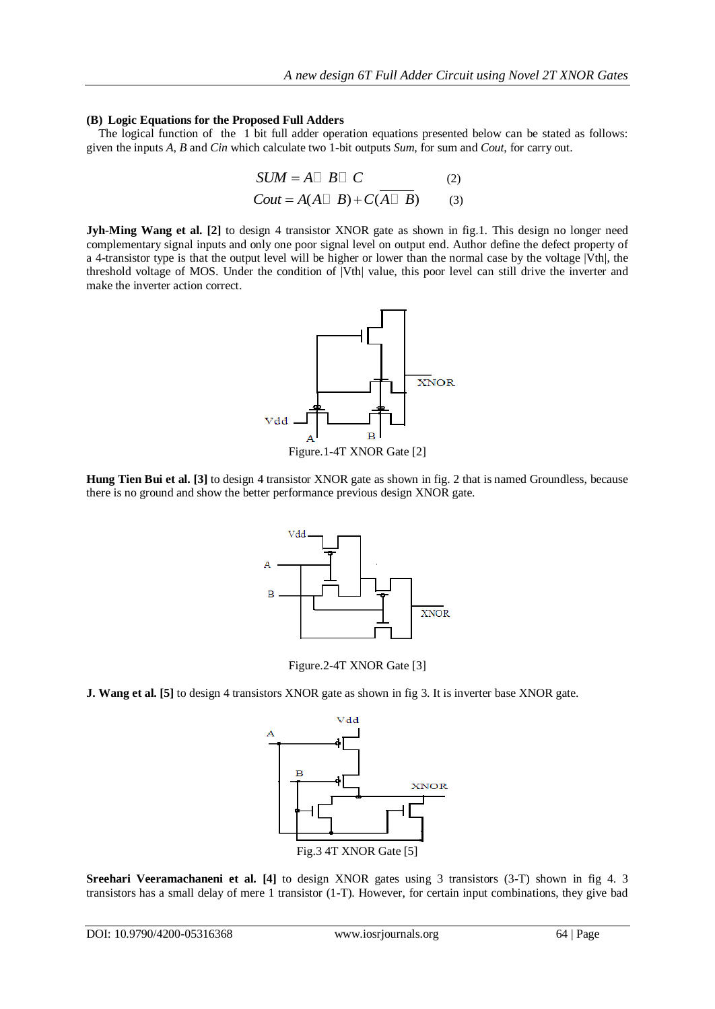#### **(B) Logic Equations for the Proposed Full Adders**

The logical function of the 1 bit full adder operation equations presented below can be stated as follows: given the inputs *A*, *B* and *Cin* which calculate two 1-bit outputs *Sum*, for sum and *Cout*, for carry out.

$$
SUM = A \square B \square C
$$
 (2)  
Count = A(A \square B) + C(\overline{A \square B}) (3)

**Jyh-Ming Wang et al. [2]** to design 4 transistor XNOR gate as shown in fig.1. This design no longer need complementary signal inputs and only one poor signal level on output end. Author define the defect property of a 4-transistor type is that the output level will be higher or lower than the normal case by the voltage |Vth|, the threshold voltage of MOS. Under the condition of |Vth| value, this poor level can still drive the inverter and make the inverter action correct.



**Hung Tien Bui et al. [3]** to design 4 transistor XNOR gate as shown in fig. 2 that is named Groundless, because there is no ground and show the better performance previous design XNOR gate.



Figure.2-4T XNOR Gate [3]

**J. Wang et al. [5]** to design 4 transistors XNOR gate as shown in fig 3. It is inverter base XNOR gate.



**Sreehari Veeramachaneni et al. [4]** to design XNOR gates using 3 transistors (3-T) shown in fig 4. 3 transistors has a small delay of mere 1 transistor (1-T). However, for certain input combinations, they give bad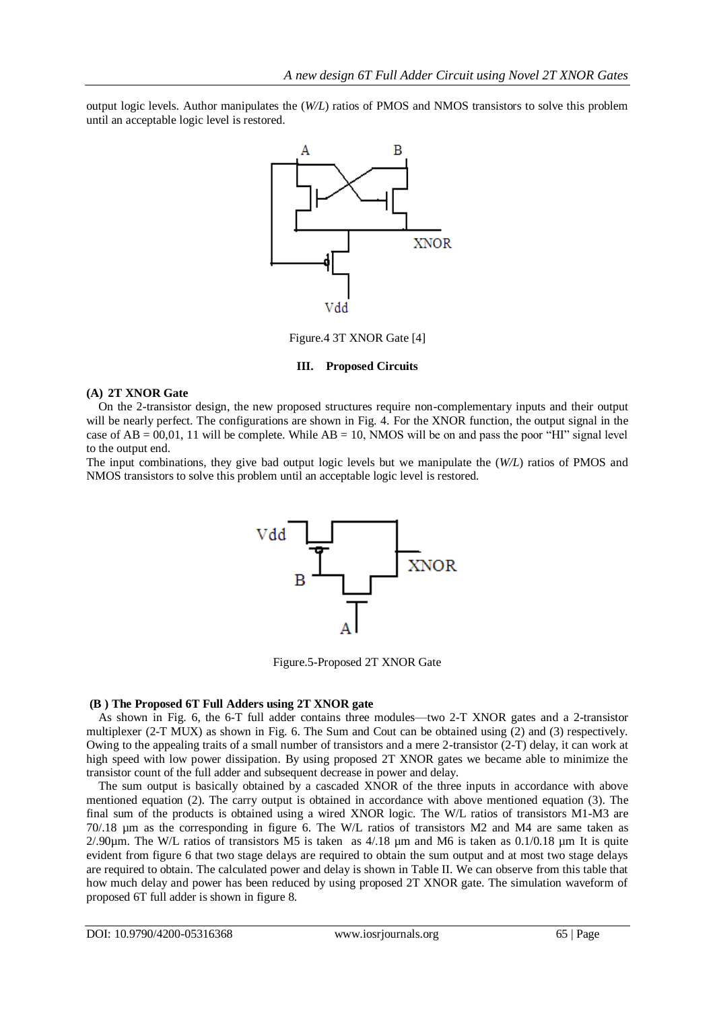output logic levels. Author manipulates the (*W/L*) ratios of PMOS and NMOS transistors to solve this problem until an acceptable logic level is restored.



Figure.4 3T XNOR Gate [4]

### **III. Proposed Circuits**

### **(A) 2T XNOR Gate**

On the 2-transistor design, the new proposed structures require non-complementary inputs and their output will be nearly perfect. The configurations are shown in Fig. 4. For the XNOR function, the output signal in the case of  $AB = 00,01, 11$  will be complete. While  $AB = 10$ , NMOS will be on and pass the poor "HI" signal level to the output end.

The input combinations, they give bad output logic levels but we manipulate the (*W/L*) ratios of PMOS and NMOS transistors to solve this problem until an acceptable logic level is restored.



Figure.5-Proposed 2T XNOR Gate

## **(B ) The Proposed 6T Full Adders using 2T XNOR gate**

As shown in Fig. 6, the 6-T full adder contains three modules—two 2-T XNOR gates and a 2-transistor multiplexer (2-T MUX) as shown in Fig. 6. The Sum and Cout can be obtained using (2) and (3) respectively. Owing to the appealing traits of a small number of transistors and a mere 2-transistor (2-T) delay, it can work at high speed with low power dissipation. By using proposed 2T XNOR gates we became able to minimize the transistor count of the full adder and subsequent decrease in power and delay.

The sum output is basically obtained by a cascaded XNOR of the three inputs in accordance with above mentioned equation (2). The carry output is obtained in accordance with above mentioned equation (3). The final sum of the products is obtained using a wired XNOR logic. The W/L ratios of transistors M1-M3 are 70/.18 µm as the corresponding in figure 6. The W/L ratios of transistors M2 and M4 are same taken as  $2/0.90 \mu$ m. The W/L ratios of transistors M5 is taken as  $4/18 \mu$ m and M6 is taken as 0.1/0.18  $\mu$ m It is quite evident from figure 6 that two stage delays are required to obtain the sum output and at most two stage delays are required to obtain. The calculated power and delay is shown in Table II. We can observe from this table that how much delay and power has been reduced by using proposed 2T XNOR gate. The simulation waveform of proposed 6T full adder is shown in figure 8.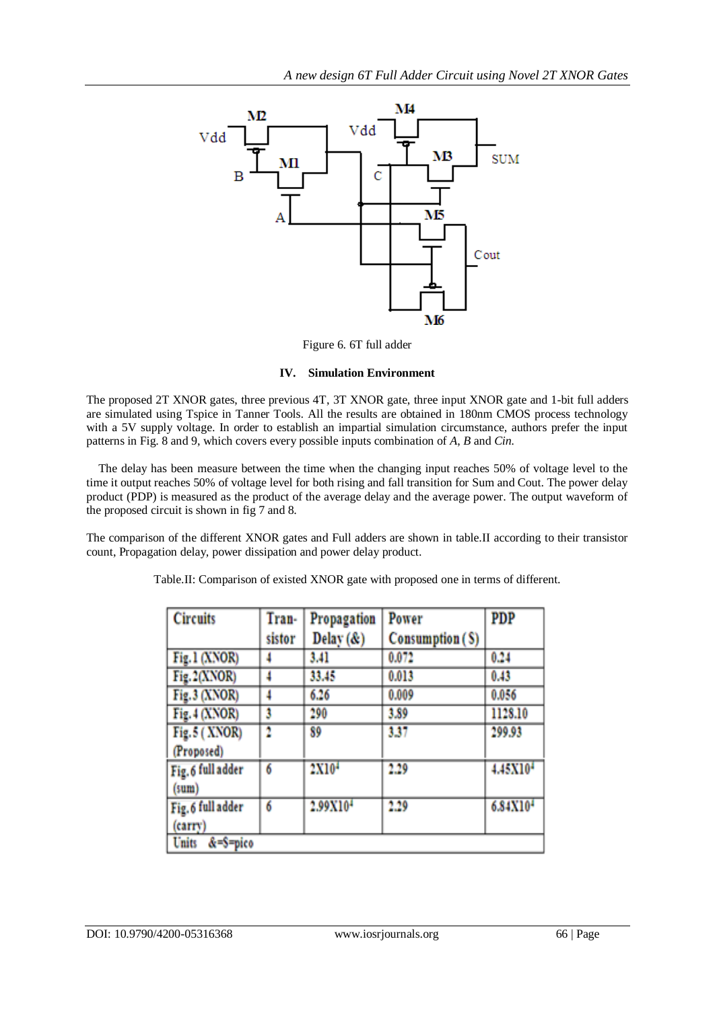

Figure 6. 6T full adder

## **IV. Simulation Environment**

The proposed 2T XNOR gates, three previous 4T, 3T XNOR gate, three input XNOR gate and 1-bit full adders are simulated using Tspice in Tanner Tools. All the results are obtained in 180nm CMOS process technology with a 5V supply voltage. In order to establish an impartial simulation circumstance, authors prefer the input patterns in Fig. 8 and 9, which covers every possible inputs combination of *A*, *B* and *Cin.*

The delay has been measure between the time when the changing input reaches 50% of voltage level to the time it output reaches 50% of voltage level for both rising and fall transition for Sum and Cout. The power delay product (PDP) is measured as the product of the average delay and the average power. The output waveform of the proposed circuit is shown in fig 7 and 8.

The comparison of the different XNOR gates and Full adders are shown in table.II according to their transistor count, Propagation delay, power dissipation and power delay product.

| <b>Circuits</b>             | Tran-  | Propagation          | Power           | <b>PDP</b>           |
|-----------------------------|--------|----------------------|-----------------|----------------------|
|                             | sistor | Delay $(\&)$         | Consumption (S) |                      |
| Fig.1 (XNOR)                |        | 3.41                 | 0.072           | 0.24                 |
| Fig. 2(XNOR)                | 4      | 33.45                | 0.013           | 0.43                 |
| Fig.3 (XNOR)                | 4      | 6.26                 | 0.009           | 0.056                |
| Fig. 4 (XNOR)               | 3      | 290                  | 3.89            | 1128.10              |
| Fig. 5 (XNOR)               | 2      | 89                   | 3.37            | 299.93               |
| (Proposed)                  |        |                      |                 |                      |
| Fig. 6 full adder           | 6      | 2X10 <sup>4</sup>    | 2.29            | 4.45X10 <sup>4</sup> |
| (sum)                       |        |                      |                 |                      |
| Fig. 6 full adder           | 6      | 2.99X10 <sup>4</sup> | 2.29            | 6.84X10 <sup>4</sup> |
| (carry)                     |        |                      |                 |                      |
| $&=$ S=pico<br><b>Units</b> |        |                      |                 |                      |

Table.II: Comparison of existed XNOR gate with proposed one in terms of different.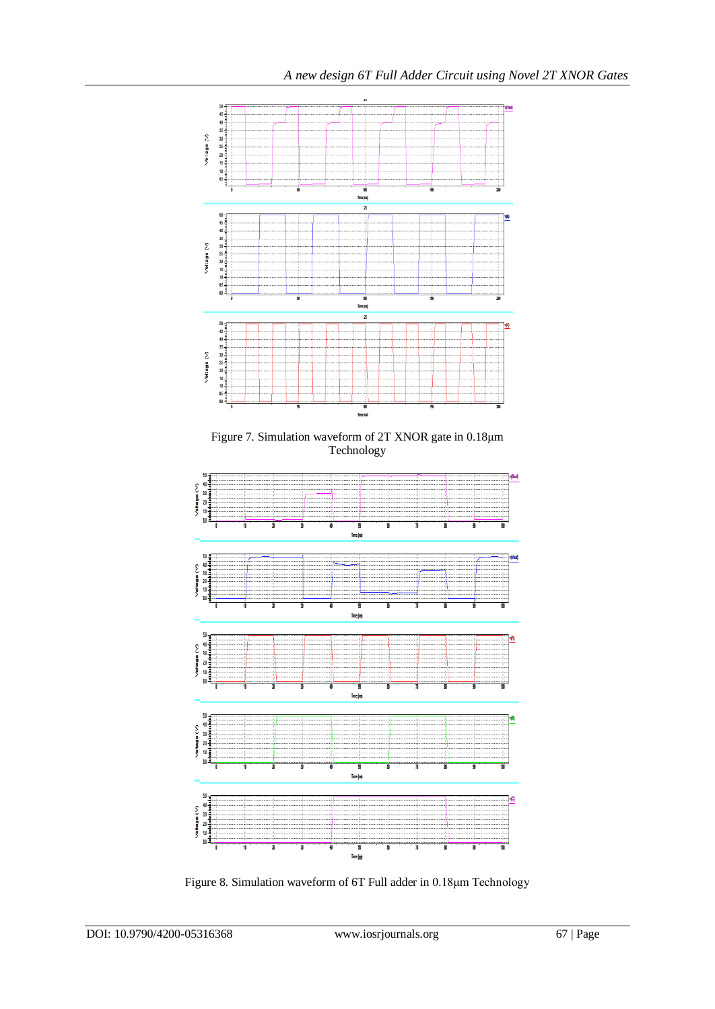

Figure 8. Simulation waveform of 6T Full adder in 0.18μm Technology